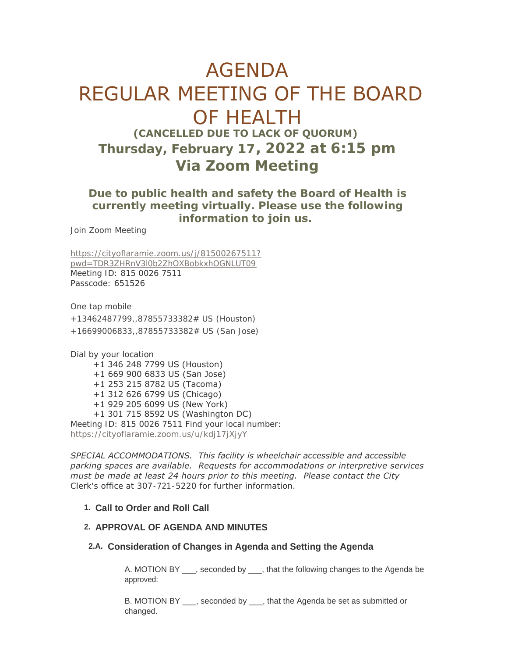# AGENDA REGULAR MEETING OF THE BOARD OF HEALTH **(CANCELLED DUE TO LACK OF QUORUM) Thursday, February 17, 2022 at 6:15 pm Via Zoom Meeting**

## **Due to public health and safety the Board of Health is currently meeting virtually. Please use the following information to join us.**

Join Zoom Meeting

[https://cityoflaramie.zoom.us/j/81500267511?](https://cityoflaramie.zoom.us/j/81500267511?pwd=TDR3ZHRnV3l0b2ZhOXBobkxhOGNLUT09) pwd=TDR3ZHRnV3l0b2ZhOXBobkxhOGNLUT09 Meeting ID: 815 0026 7511 Passcode: 651526

One tap mobile

+13462487799,,87855733382# US (Houston) +16699006833,,87855733382# US (San Jose)

Dial by your location

 +1 346 248 7799 US (Houston) +1 669 900 6833 US (San Jose) +1 253 215 8782 US (Tacoma) +1 312 626 6799 US (Chicago) +1 929 205 6099 US (New York) +1 301 715 8592 US (Washington DC) [Meeting ID: 815 0026 7511 Find your local n](https://cityoflaramie.zoom.us/u/kdj17jXjyY)umber: https://cityoflaramie.zoom.us/u/kdj17jXjyY

*SPECIAL ACCOMMODATIONS. This facility is wheelchair accessible and accessible parking spaces are available. Requests for accommodations or interpretive services must be made at least 24 hours prior to this meeting. Please contact the City Clerk's office at 307-721-5220 for further information.*

#### **Call to Order and Roll Call 1.**

#### **APPROVAL OF AGENDA AND MINUTES 2.**

### **Consideration of Changes in Agenda and Setting the Agenda 2.A.**

A. MOTION BY \_\_\_, seconded by \_\_\_, that the following changes to the Agenda be approved:

B. MOTION BY \_\_\_, seconded by \_\_\_, that the Agenda be set as submitted or changed.